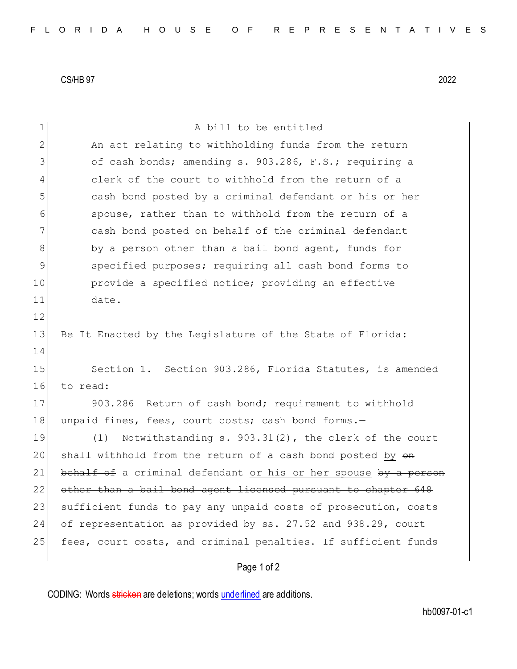CS/HB 97 2022

| 1             | A bill to be entitled                                            |
|---------------|------------------------------------------------------------------|
| 2             | An act relating to withholding funds from the return             |
| 3             | of cash bonds; amending s. 903.286, F.S.; requiring a            |
| 4             | clerk of the court to withhold from the return of a              |
| 5             | cash bond posted by a criminal defendant or his or her           |
| 6             | spouse, rather than to withhold from the return of a             |
| 7             | cash bond posted on behalf of the criminal defendant             |
| 8             | by a person other than a bail bond agent, funds for              |
| $\mathcal{G}$ | specified purposes; requiring all cash bond forms to             |
| 10            | provide a specified notice; providing an effective               |
| 11            | date.                                                            |
| 12            |                                                                  |
| 13            | Be It Enacted by the Legislature of the State of Florida:        |
| 14            |                                                                  |
| 15            | Section 1. Section 903.286, Florida Statutes, is amended         |
| 16            | to read:                                                         |
| 17            | 903.286 Return of cash bond; requirement to withhold             |
| 18            | unpaid fines, fees, court costs; cash bond forms.-               |
| 19            | Notwithstanding s. $903.31(2)$ , the clerk of the court<br>(1)   |
| 20            | shall withhold from the return of a cash bond posted by $\Theta$ |
| 21            | behalf of a criminal defendant or his or her spouse by a person  |
| 22            | other than a bail bond agent licensed pursuant to chapter 648    |
| 23            | sufficient funds to pay any unpaid costs of prosecution, costs   |
| 24            | of representation as provided by ss. 27.52 and 938.29, court     |
| 25            | fees, court costs, and criminal penalties. If sufficient funds   |
|               |                                                                  |

## Page 1 of 2

CODING: Words stricken are deletions; words underlined are additions.